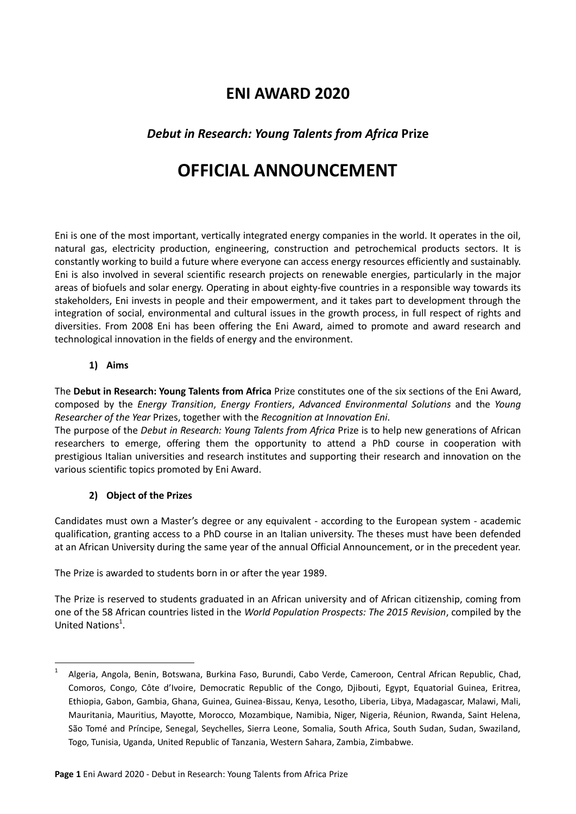## **ENI AWARD 2020**

### *Debut in Research: Young Talents from Africa* **Prize**

# **OFFICIAL ANNOUNCEMENT**

Eni is one of the most important, vertically integrated energy companies in the world. It operates in the oil, natural gas, electricity production, engineering, construction and petrochemical products sectors. It is constantly working to build a future where everyone can access energy resources efficiently and sustainably. Eni is also involved in several scientific research projects on renewable energies, particularly in the major areas of biofuels and solar energy. Operating in about eighty-five countries in a responsible way towards its stakeholders, Eni invests in people and their empowerment, and it takes part to development through the integration of social, environmental and cultural issues in the growth process, in full respect of rights and diversities. From 2008 Eni has been offering the Eni Award, aimed to promote and award research and technological innovation in the fields of energy and the environment.

#### **1) Aims**

**.** 

The **Debut in Research: Young Talents from Africa** Prize constitutes one of the six sections of the Eni Award, composed by the *Energy Transition*, *Energy Frontiers*, *Advanced Environmental Solutions* and the *Young Researcher of the Year* Prizes, together with the *Recognition at Innovation Eni*.

The purpose of the *Debut in Research: Young Talents from Africa* Prize is to help new generations of African researchers to emerge, offering them the opportunity to attend a PhD course in cooperation with prestigious Italian universities and research institutes and supporting their research and innovation on the various scientific topics promoted by Eni Award.

#### **2) Object of the Prizes**

Candidates must own a Master's degree or any equivalent - according to the European system - academic qualification, granting access to a PhD course in an Italian university. The theses must have been defended at an African University during the same year of the annual Official Announcement, or in the precedent year.

The Prize is awarded to students born in or after the year 1989.

The Prize is reserved to students graduated in an African university and of African citizenship, coming from one of the 58 African countries listed in the *World Population Prospects: The 2015 Revision*, compiled by the United Nations<sup>1</sup>.

<sup>1</sup> Algeria, Angola, Benin, Botswana, Burkina Faso, Burundi, Cabo Verde, Cameroon, Central African Republic, Chad, Comoros, Congo, Côte d'Ivoire, Democratic Republic of the Congo, Djibouti, Egypt, Equatorial Guinea, Eritrea, Ethiopia, Gabon, Gambia, Ghana, Guinea, Guinea-Bissau, Kenya, Lesotho, Liberia, Libya, Madagascar, Malawi, Mali, Mauritania, Mauritius, Mayotte, Morocco, Mozambique, Namibia, Niger, Nigeria, Réunion, Rwanda, Saint Helena, São Tomé and Príncipe, Senegal, Seychelles, Sierra Leone, Somalia, South Africa, South Sudan, Sudan, Swaziland, Togo, Tunisia, Uganda, United Republic of Tanzania, Western Sahara, Zambia, Zimbabwe.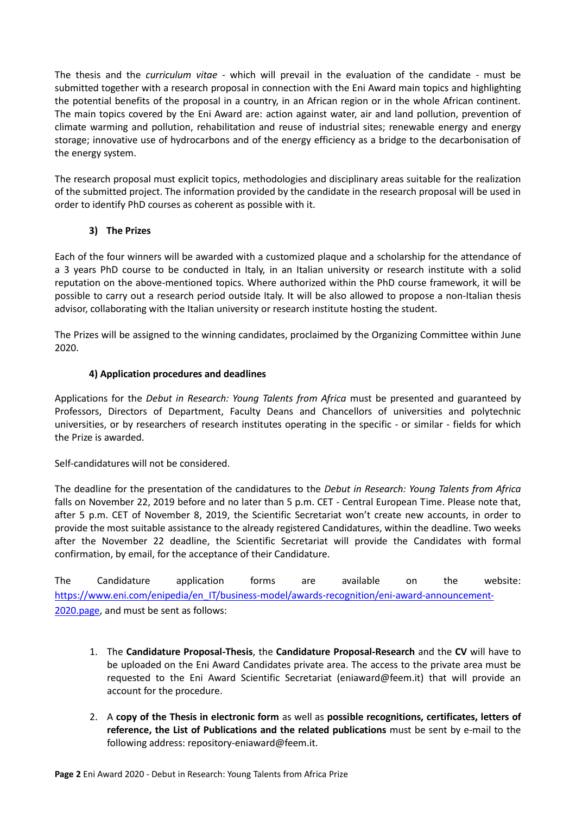The thesis and the *curriculum vitae* - which will prevail in the evaluation of the candidate - must be submitted together with a research proposal in connection with the Eni Award main topics and highlighting the potential benefits of the proposal in a country, in an African region or in the whole African continent. The main topics covered by the Eni Award are: action against water, air and land pollution, prevention of climate warming and pollution, rehabilitation and reuse of industrial sites; renewable energy and energy storage; innovative use of hydrocarbons and of the energy efficiency as a bridge to the decarbonisation of the energy system.

The research proposal must explicit topics, methodologies and disciplinary areas suitable for the realization of the submitted project. The information provided by the candidate in the research proposal will be used in order to identify PhD courses as coherent as possible with it.

#### **3) The Prizes**

Each of the four winners will be awarded with a customized plaque and a scholarship for the attendance of a 3 years PhD course to be conducted in Italy, in an Italian university or research institute with a solid reputation on the above-mentioned topics. Where authorized within the PhD course framework, it will be possible to carry out a research period outside Italy. It will be also allowed to propose a non-Italian thesis advisor, collaborating with the Italian university or research institute hosting the student.

The Prizes will be assigned to the winning candidates, proclaimed by the Organizing Committee within June 2020.

#### **4) Application procedures and deadlines**

Applications for the *Debut in Research: Young Talents from Africa* must be presented and guaranteed by Professors, Directors of Department, Faculty Deans and Chancellors of universities and polytechnic universities, or by researchers of research institutes operating in the specific - or similar - fields for which the Prize is awarded.

Self-candidatures will not be considered.

The deadline for the presentation of the candidatures to the *Debut in Research: Young Talents from Africa* falls on November 22, 2019 before and no later than 5 p.m. CET - Central European Time. Please note that, after 5 p.m. CET of November 8, 2019, the Scientific Secretariat won't create new accounts, in order to provide the most suitable assistance to the already registered Candidatures, within the deadline. Two weeks after the November 22 deadline, the Scientific Secretariat will provide the Candidates with formal confirmation, by email, for the acceptance of their Candidature.

The Candidature application forms are available on the website: [https://www.eni.com/enipedia/en\\_IT/business-model/awards-recognition/eni-award-announcement-](https://www.eni.com/enipedia/en_IT/business-model/awards-recognition/eni-award-announcement-2020.page)[2020.page,](https://www.eni.com/enipedia/en_IT/business-model/awards-recognition/eni-award-announcement-2020.page) and must be sent as follows:

- 1. The **Candidature Proposal-Thesis**, the **Candidature Proposal-Research** and the **CV** will have to be uploaded on the Eni Award Candidates private area. The access to the private area must be requested to the Eni Award Scientific Secretariat (eniaward@feem.it) that will provide an account for the procedure.
- 2. A **copy of the Thesis in electronic form** as well as **possible recognitions, certificates, letters of reference, the List of Publications and the related publications** must be sent by e-mail to the following address: repository-eniaward@feem.it.